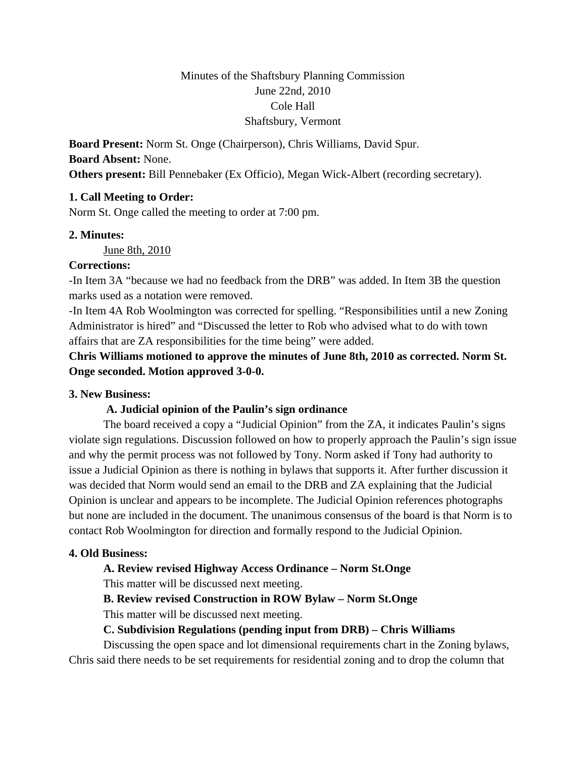# Minutes of the Shaftsbury Planning Commission June 22nd, 2010 Cole Hall Shaftsbury, Vermont

**Board Present:** Norm St. Onge (Chairperson), Chris Williams, David Spur. **Board Absent:** None. **Others present:** Bill Pennebaker (Ex Officio), Megan Wick-Albert (recording secretary).

# **1. Call Meeting to Order:**

Norm St. Onge called the meeting to order at 7:00 pm.

### **2. Minutes:**

June 8th, 2010

# **Corrections:**

-In Item 3A "because we had no feedback from the DRB" was added. In Item 3B the question marks used as a notation were removed.

-In Item 4A Rob Woolmington was corrected for spelling. "Responsibilities until a new Zoning Administrator is hired" and "Discussed the letter to Rob who advised what to do with town affairs that are ZA responsibilities for the time being" were added.

**Chris Williams motioned to approve the minutes of June 8th, 2010 as corrected. Norm St. Onge seconded. Motion approved 3-0-0.** 

# **3. New Business:**

#### **A. Judicial opinion of the Paulin's sign ordinance**

The board received a copy a "Judicial Opinion" from the ZA, it indicates Paulin's signs violate sign regulations. Discussion followed on how to properly approach the Paulin's sign issue and why the permit process was not followed by Tony. Norm asked if Tony had authority to issue a Judicial Opinion as there is nothing in bylaws that supports it. After further discussion it was decided that Norm would send an email to the DRB and ZA explaining that the Judicial Opinion is unclear and appears to be incomplete. The Judicial Opinion references photographs but none are included in the document. The unanimous consensus of the board is that Norm is to contact Rob Woolmington for direction and formally respond to the Judicial Opinion.

#### **4. Old Business:**

#### **A. Review revised Highway Access Ordinance – Norm St.Onge**

This matter will be discussed next meeting.

### **B. Review revised Construction in ROW Bylaw – Norm St.Onge**

This matter will be discussed next meeting.

### **C. Subdivision Regulations (pending input from DRB) – Chris Williams**

Discussing the open space and lot dimensional requirements chart in the Zoning bylaws, Chris said there needs to be set requirements for residential zoning and to drop the column that